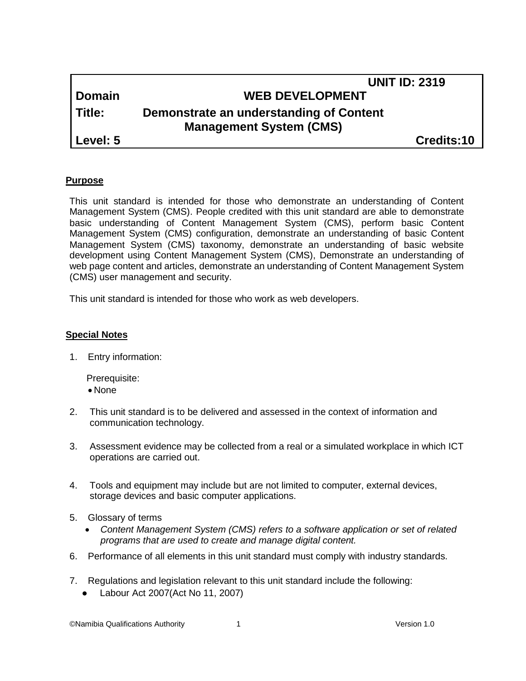|          | <b>UNIT ID: 2319</b>                                                      |  |
|----------|---------------------------------------------------------------------------|--|
| Domain   | <b>WEB DEVELOPMENT</b>                                                    |  |
| l Title: | Demonstrate an understanding of Content<br><b>Management System (CMS)</b> |  |
| Level: 5 | Credits:10                                                                |  |

### **Purpose**

This unit standard is intended for those who demonstrate an understanding of Content Management System (CMS). People credited with this unit standard are able to demonstrate basic understanding of Content Management System (CMS), perform basic Content Management System (CMS) configuration, demonstrate an understanding of basic Content Management System (CMS) taxonomy, demonstrate an understanding of basic website development using Content Management System (CMS), Demonstrate an understanding of web page content and articles, demonstrate an understanding of Content Management System (CMS) user management and security.

This unit standard is intended for those who work as web developers.

#### **Special Notes**

1. Entry information:

Prerequisite:

- None
- 2. This unit standard is to be delivered and assessed in the context of information and communication technology.
- 3. Assessment evidence may be collected from a real or a simulated workplace in which ICT operations are carried out.
- 4. Tools and equipment may include but are not limited to computer, external devices, storage devices and basic computer applications.
- 5. Glossary of terms
	- *Content Management System (CMS) refers to a software application or set of related programs that are used to create and manage digital content.*
- 6. Performance of all elements in this unit standard must comply with industry standards.
- 7. Regulations and legislation relevant to this unit standard include the following:
	- Labour Act 2007(Act No 11, 2007)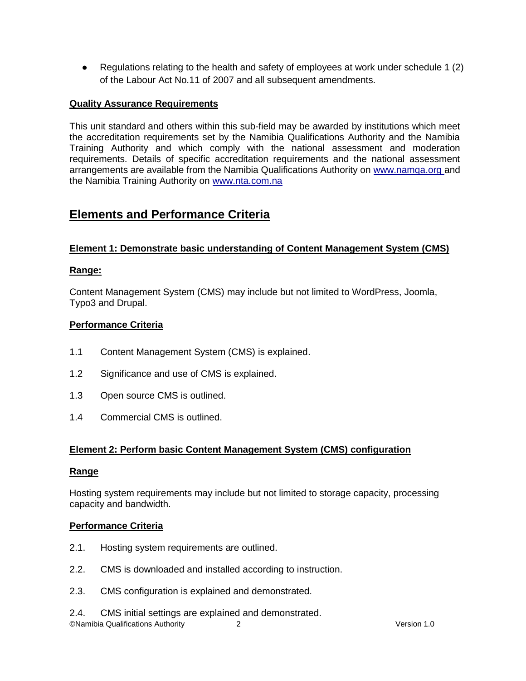■ Regulations relating to the health and safety of employees at work under schedule 1 (2) of the Labour Act No.11 of 2007 and all subsequent amendments.

# **Quality Assurance Requirements**

This unit standard and others within this sub-field may be awarded by institutions which meet the accreditation requirements set by the Namibia Qualifications Authority and the Namibia Training Authority and which comply with the national assessment and moderation requirements. Details of specific accreditation requirements and the national assessment arrangements are available from the Namibia Qualifications Authority on [www.namqa.org a](http://www.namqa.org/)nd the Namibia Training Authority on [www.nta.com.na](http://www.nta.com.na/)

# **Elements and Performance Criteria**

# **Element 1: Demonstrate basic understanding of Content Management System (CMS)**

# **Range:**

Content Management System (CMS) may include but not limited to WordPress, Joomla, Typo3 and Drupal.

# **Performance Criteria**

- 1.1 Content Management System (CMS) is explained.
- 1.2 Significance and use of CMS is explained.
- 1.3 Open source CMS is outlined.
- 1.4 Commercial CMS is outlined.

# **Element 2: Perform basic Content Management System (CMS) configuration**

## **Range**

Hosting system requirements may include but not limited to storage capacity, processing capacity and bandwidth.

## **Performance Criteria**

- 2.1. Hosting system requirements are outlined.
- 2.2. CMS is downloaded and installed according to instruction.
- 2.3. CMS configuration is explained and demonstrated.

©Namibia Qualifications Authority 2 Version 1.0 2.4. CMS initial settings are explained and demonstrated.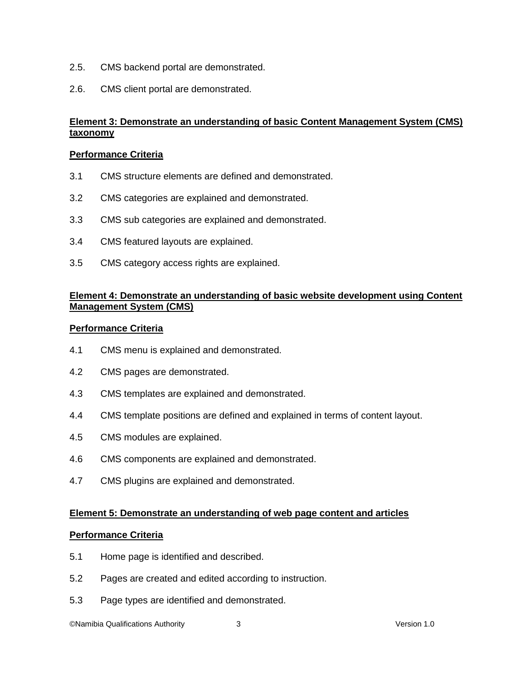- 2.5. CMS backend portal are demonstrated.
- 2.6. CMS client portal are demonstrated.

## **Element 3: Demonstrate an understanding of basic Content Management System (CMS) taxonomy**

#### **Performance Criteria**

- 3.1 CMS structure elements are defined and demonstrated.
- 3.2 CMS categories are explained and demonstrated.
- 3.3 CMS sub categories are explained and demonstrated.
- 3.4 CMS featured layouts are explained.
- 3.5 CMS category access rights are explained.

## **Element 4: Demonstrate an understanding of basic website development using Content Management System (CMS)**

#### **Performance Criteria**

- 4.1 CMS menu is explained and demonstrated.
- 4.2 CMS pages are demonstrated.
- 4.3 CMS templates are explained and demonstrated.
- 4.4 CMS template positions are defined and explained in terms of content layout.
- 4.5 CMS modules are explained.
- 4.6 CMS components are explained and demonstrated.
- 4.7 CMS plugins are explained and demonstrated.

#### **Element 5: Demonstrate an understanding of web page content and articles**

#### **Performance Criteria**

- 5.1 Home page is identified and described.
- 5.2 Pages are created and edited according to instruction.
- 5.3 Page types are identified and demonstrated.